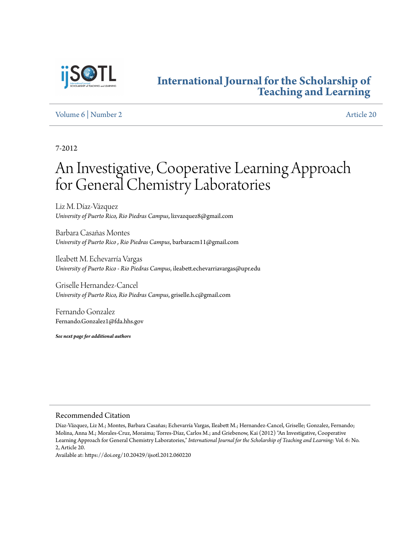

# **[International Journal for the Scholarship of](http://digitalcommons.georgiasouthern.edu/ij-sotl?utm_source=digitalcommons.georgiasouthern.edu%2Fij-sotl%2Fvol6%2Fiss2%2F20&utm_medium=PDF&utm_campaign=PDFCoverPages) [Teaching and Learning](http://digitalcommons.georgiasouthern.edu/ij-sotl?utm_source=digitalcommons.georgiasouthern.edu%2Fij-sotl%2Fvol6%2Fiss2%2F20&utm_medium=PDF&utm_campaign=PDFCoverPages)**

# [Volume 6](http://digitalcommons.georgiasouthern.edu/ij-sotl/vol6?utm_source=digitalcommons.georgiasouthern.edu%2Fij-sotl%2Fvol6%2Fiss2%2F20&utm_medium=PDF&utm_campaign=PDFCoverPages) | [Number 2](http://digitalcommons.georgiasouthern.edu/ij-sotl/vol6/iss2?utm_source=digitalcommons.georgiasouthern.edu%2Fij-sotl%2Fvol6%2Fiss2%2F20&utm_medium=PDF&utm_campaign=PDFCoverPages) [Article 20](http://digitalcommons.georgiasouthern.edu/ij-sotl/vol6/iss2/20?utm_source=digitalcommons.georgiasouthern.edu%2Fij-sotl%2Fvol6%2Fiss2%2F20&utm_medium=PDF&utm_campaign=PDFCoverPages)

7-2012

# An Investigative, Cooperative Learning Approach for General Chemistry Laboratories

Liz M. Díaz-Vázquez *University of Puerto Rico, Rio Piedras Campus*, lizvazquez8@gmail.com

Barbara Casañas Montes *University of Puerto Rico , Rio Piedras Campus*, barbaracm11@gmail.com

Ileabett M. Echevarría Vargas *University of Puerto Rico - Rio Piedras Campus*, ileabett.echevarriavargas@upr.edu

Griselle Hernandez-Cancel *University of Puerto Rico, Rio Piedras Campus*, griselle.h.c@gmail.com

Fernando Gonzalez Fernando.Gonzalez1@fda.hhs.gov

*See next page for additional authors*

#### Recommended Citation

Díaz-Vázquez, Liz M.; Montes, Barbara Casañas; Echevarría Vargas, Ileabett M.; Hernandez-Cancel, Griselle; Gonzalez, Fernando; Molina, Anna M.; Morales-Cruz, Moraima; Torres-Díaz, Carlos M.; and Griebenow, Kai (2012) "An Investigative, Cooperative Learning Approach for General Chemistry Laboratories," *International Journal for the Scholarship of Teaching and Learning*: Vol. 6: No. 2, Article 20.

Available at: https://doi.org/10.20429/ijsotl.2012.060220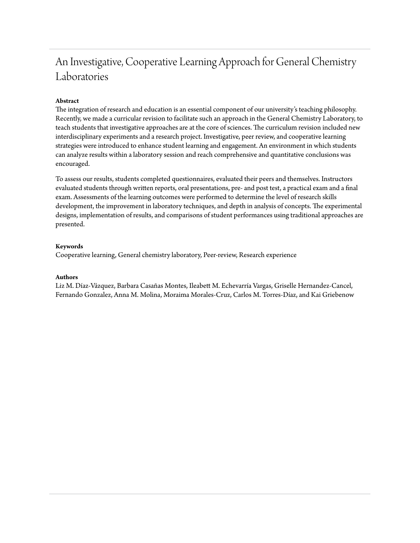# An Investigative, Cooperative Learning Approach for General Chemistry Laboratories

# **Abstract**

The integration of research and education is an essential component of our university's teaching philosophy. Recently, we made a curricular revision to facilitate such an approach in the General Chemistry Laboratory, to teach students that investigative approaches are at the core of sciences. The curriculum revision included new interdisciplinary experiments and a research project. Investigative, peer review, and cooperative learning strategies were introduced to enhance student learning and engagement. An environment in which students can analyze results within a laboratory session and reach comprehensive and quantitative conclusions was encouraged.

To assess our results, students completed questionnaires, evaluated their peers and themselves. Instructors evaluated students through written reports, oral presentations, pre- and post test, a practical exam and a final exam. Assessments of the learning outcomes were performed to determine the level of research skills development, the improvement in laboratory techniques, and depth in analysis of concepts. The experimental designs, implementation of results, and comparisons of student performances using traditional approaches are presented.

# **Keywords**

Cooperative learning, General chemistry laboratory, Peer-review, Research experience

#### **Authors**

Liz M. Díaz-Vázquez, Barbara Casañas Montes, Ileabett M. Echevarría Vargas, Griselle Hernandez-Cancel, Fernando Gonzalez, Anna M. Molina, Moraima Morales-Cruz, Carlos M. Torres-Díaz, and Kai Griebenow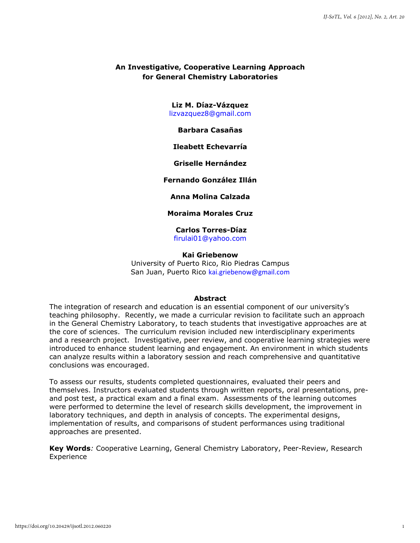# **An Investigative, Cooperative Learning Approach for General Chemistry Laboratories**

**Liz M. Díaz-Vázquez** [lizvazquez8@gmail.com](mailto:lizvazquez8@gmail.com) 

#### **Barbara Casañas**

### **Ileabett Echevarría**

# **Griselle Hernández**

# **Fernando González Illán**

# **Anna Molina Calzada**

# **Moraima Morales Cruz**

**Carlos Torres-Díaz** [firulai01@yahoo.com](mailto:firulai01@yahoo.com)

#### **Kai Griebenow**

University of Puerto Rico, Rio Piedras Campus San Juan, Puerto Rico [kai.griebenow@gmail.com](mailto:kai.griebenow@gmail.com)

#### **Abstract**

The integration of research and education is an essential component of our university's teaching philosophy. Recently, we made a curricular revision to facilitate such an approach in the General Chemistry Laboratory, to teach students that investigative approaches are at the core of sciences. The curriculum revision included new interdisciplinary experiments and a research project. Investigative, peer review, and cooperative learning strategies were introduced to enhance student learning and engagement. An environment in which students can analyze results within a laboratory session and reach comprehensive and quantitative conclusions was encouraged.

To assess our results, students completed questionnaires, evaluated their peers and themselves. Instructors evaluated students through written reports, oral presentations, preand post test, a practical exam and a final exam. Assessments of the learning outcomes were performed to determine the level of research skills development, the improvement in laboratory techniques, and depth in analysis of concepts. The experimental designs, implementation of results, and comparisons of student performances using traditional approaches are presented.

**Key Words***:* Cooperative Learning, General Chemistry Laboratory, Peer-Review, Research Experience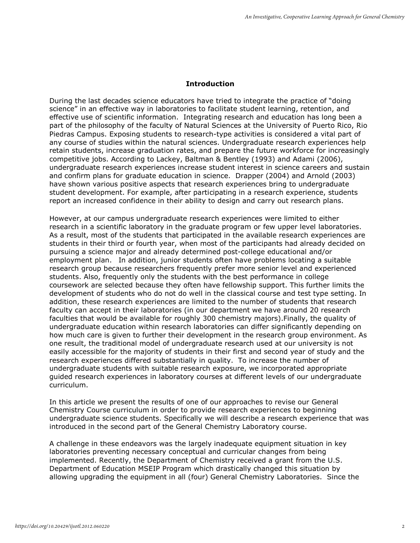# **Introduction**

During the last decades science educators have tried to integrate the practice of "doing science" in an effective way in laboratories to facilitate student learning, retention, and effective use of scientific information. Integrating research and education has long been a part of the philosophy of the faculty of Natural Sciences at the University of Puerto Rico, Rio Piedras Campus. Exposing students to research-type activities is considered a vital part of any course of studies within the natural sciences. Undergraduate research experiences help retain students, increase graduation rates, and prepare the future workforce for increasingly competitive jobs. According to Lackey, Baltman & Bentley (1993) and Adami (2006), undergraduate research experiences increase student interest in science careers and sustain and confirm plans for graduate education in science. Drapper (2004) and Arnold (2003) have shown various positive aspects that research experiences bring to undergraduate student development. For example, after participating in a research experience, students report an increased confidence in their ability to design and carry out research plans.

However, at our campus undergraduate research experiences were limited to either research in a scientific laboratory in the graduate program or few upper level laboratories. As a result, most of the students that participated in the available research experiences are students in their third or fourth year, when most of the participants had already decided on pursuing a science major and already determined post-college educational and/or employment plan. In addition, junior students often have problems locating a suitable research group because researchers frequently prefer more senior level and experienced students. Also, frequently only the students with the best performance in college coursework are selected because they often have fellowship support. This further limits the development of students who do not do well in the classical course and test type setting. In addition, these research experiences are limited to the number of students that research faculty can accept in their laboratories (in our department we have around 20 research faculties that would be available for roughly 300 chemistry majors).Finally, the quality of undergraduate education within research laboratories can differ significantly depending on how much care is given to further their development in the research group environment. As one result, the traditional model of undergraduate research used at our university is not easily accessible for the majority of students in their first and second year of study and the research experiences differed substantially in quality. To increase the number of undergraduate students with suitable research exposure, we incorporated appropriate guided research experiences in laboratory courses at different levels of our undergraduate curriculum.

In this article we present the results of one of our approaches to revise our General Chemistry Course curriculum in order to provide research experiences to beginning undergraduate science students. Specifically we will describe a research experience that was introduced in the second part of the General Chemistry Laboratory course.

A challenge in these endeavors was the largely inadequate equipment situation in key laboratories preventing necessary conceptual and curricular changes from being implemented. Recently, the Department of Chemistry received a grant from the U.S. Department of Education MSEIP Program which drastically changed this situation by allowing upgrading the equipment in all (four) General Chemistry Laboratories. Since the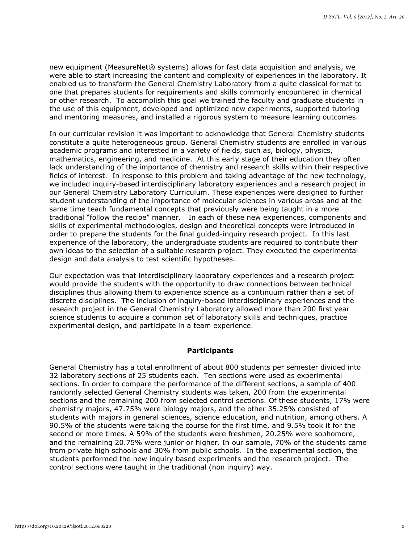new equipment (MeasureNet® systems) allows for fast data acquisition and analysis, we were able to start increasing the content and complexity of experiences in the laboratory. It enabled us to transform the General Chemistry Laboratory from a quite classical format to one that prepares students for requirements and skills commonly encountered in chemical or other research. To accomplish this goal we trained the faculty and graduate students in the use of this equipment, developed and optimized new experiments, supported tutoring and mentoring measures, and installed a rigorous system to measure learning outcomes.

In our curricular revision it was important to acknowledge that General Chemistry students constitute a quite heterogeneous group. General Chemistry students are enrolled in various academic programs and interested in a variety of fields, such as, biology, physics, mathematics, engineering, and medicine. At this early stage of their education they often lack understanding of the importance of chemistry and research skills within their respective fields of interest. In response to this problem and taking advantage of the new technology, we included inquiry-based interdisciplinary laboratory experiences and a research project in our General Chemistry Laboratory Curriculum. These experiences were designed to further student understanding of the importance of molecular sciences in various areas and at the same time teach fundamental concepts that previously were being taught in a more traditional "follow the recipe" manner. In each of these new experiences, components and skills of experimental methodologies, design and theoretical concepts were introduced in order to prepare the students for the final guided-inquiry research project. In this last experience of the laboratory, the undergraduate students are required to contribute their own ideas to the selection of a suitable research project. They executed the experimental design and data analysis to test scientific hypotheses.

Our expectation was that interdisciplinary laboratory experiences and a research project would provide the students with the opportunity to draw connections between technical disciplines thus allowing them to experience science as a continuum rather than a set of discrete disciplines. The inclusion of inquiry-based interdisciplinary experiences and the research project in the General Chemistry Laboratory allowed more than 200 first year science students to acquire a common set of laboratory skills and techniques, practice experimental design, and participate in a team experience.

# **Participants**

General Chemistry has a total enrollment of about 800 students per semester divided into 32 laboratory sections of 25 students each. Ten sections were used as experimental sections. In order to compare the performance of the different sections, a sample of 400 randomly selected General Chemistry students was taken, 200 from the experimental sections and the remaining 200 from selected control sections. Of these students, 17% were chemistry majors, 47.75% were biology majors, and the other 35.25% consisted of students with majors in general sciences, science education, and nutrition, among others. A 90.5% of the students were taking the course for the first time, and 9.5% took it for the second or more times. A 59% of the students were freshmen, 20.25% were sophomore, and the remaining 20.75% were junior or higher. In our sample, 70% of the students came from private high schools and 30% from public schools. In the experimental section, the students performed the new inquiry based experiments and the research project. The control sections were taught in the traditional (non inquiry) way.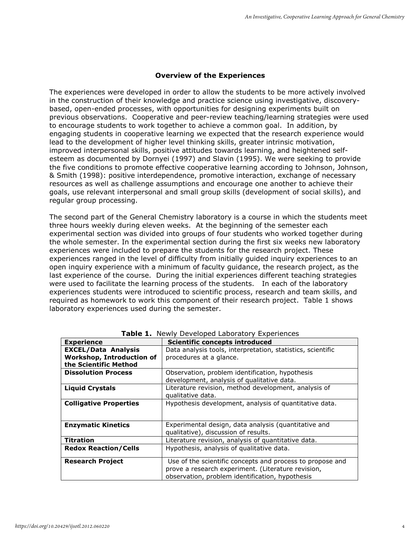# **Overview of the Experiences**

The experiences were developed in order to allow the students to be more actively involved in the construction of their knowledge and practice science using investigative, discoverybased, open-ended processes, with opportunities for designing experiments built on previous observations. Cooperative and peer-review teaching/learning strategies were used to encourage students to work together to achieve a common goal. In addition, by engaging students in cooperative learning we expected that the research experience would lead to the development of higher level thinking skills, greater intrinsic motivation, improved interpersonal skills, positive attitudes towards learning, and heightened selfesteem as documented by Dornyei (1997) and Slavin (1995). We were seeking to provide the five conditions to promote effective cooperative learning according to Johnson, Johnson, & Smith (1998): positive interdependence, promotive interaction, exchange of necessary resources as well as challenge assumptions and encourage one another to achieve their goals, use relevant interpersonal and small group skills (development of social skills), and regular group processing.

The second part of the General Chemistry laboratory is a course in which the students meet three hours weekly during eleven weeks. At the beginning of the semester each experimental section was divided into groups of four students who worked together during the whole semester. In the experimental section during the first six weeks new laboratory experiences were included to prepare the students for the research project. These experiences ranged in the level of difficulty from initially guided inquiry experiences to an open inquiry experience with a minimum of faculty guidance, the research project, as the last experience of the course. During the initial experiences different teaching strategies were used to facilitate the learning process of the students. In each of the laboratory experiences students were introduced to scientific process, research and team skills, and required as homework to work this component of their research project. Table 1 shows laboratory experiences used during the semester.

| <b>Experience</b>                                                                       | <b>Scientific concepts introduced</b>                                                                                                                              |  |  |
|-----------------------------------------------------------------------------------------|--------------------------------------------------------------------------------------------------------------------------------------------------------------------|--|--|
| <b>EXCEL/Data Analysis</b><br><b>Workshop, Introduction of</b><br>the Scientific Method | Data analysis tools, interpretation, statistics, scientific<br>procedures at a glance.                                                                             |  |  |
| <b>Dissolution Process</b>                                                              | Observation, problem identification, hypothesis<br>development, analysis of qualitative data.                                                                      |  |  |
| <b>Liquid Crystals</b>                                                                  | Literature revision, method development, analysis of<br>qualitative data.                                                                                          |  |  |
| <b>Colligative Properties</b>                                                           | Hypothesis development, analysis of quantitative data.                                                                                                             |  |  |
| <b>Enzymatic Kinetics</b>                                                               | Experimental design, data analysis (quantitative and<br>qualitative), discussion of results.                                                                       |  |  |
| <b>Titration</b>                                                                        | Literature revision, analysis of quantitative data.                                                                                                                |  |  |
| <b>Redox Reaction/Cells</b>                                                             | Hypothesis, analysis of qualitative data.                                                                                                                          |  |  |
| <b>Research Project</b>                                                                 | Use of the scientific concepts and process to propose and<br>prove a research experiment. (Literature revision,<br>observation, problem identification, hypothesis |  |  |

**Table 1.** Newly Developed Laboratory Experiences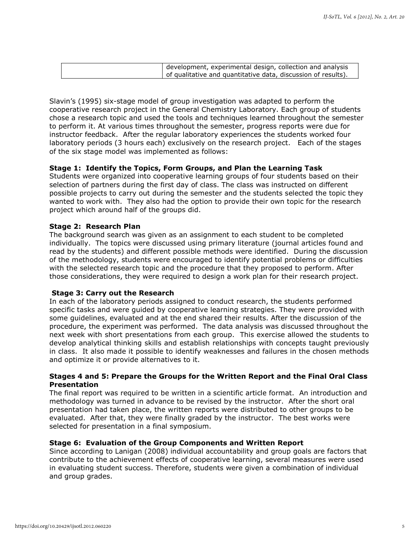| development, experimental design, collection and analysis     |
|---------------------------------------------------------------|
| of qualitative and quantitative data, discussion of results). |

Slavin's (1995) six-stage model of group investigation was adapted to perform the cooperative research project in the General Chemistry Laboratory. Each group of students chose a research topic and used the tools and techniques learned throughout the semester to perform it. At various times throughout the semester, progress reports were due for instructor feedback. After the regular laboratory experiences the students worked four laboratory periods (3 hours each) exclusively on the research project. Each of the stages of the six stage model was implemented as follows:

# **Stage 1: Identify the Topics, Form Groups, and Plan the Learning Task**

Students were organized into cooperative learning groups of four students based on their selection of partners during the first day of class. The class was instructed on different possible projects to carry out during the semester and the students selected the topic they wanted to work with. They also had the option to provide their own topic for the research project which around half of the groups did.

#### **Stage 2: Research Plan**

The background search was given as an assignment to each student to be completed individually. The topics were discussed using primary literature (journal articles found and read by the students) and different possible methods were identified. During the discussion of the methodology, students were encouraged to identify potential problems or difficulties with the selected research topic and the procedure that they proposed to perform. After those considerations, they were required to design a work plan for their research project.

#### **Stage 3: Carry out the Research**

In each of the laboratory periods assigned to conduct research, the students performed specific tasks and were guided by cooperative learning strategies. They were provided with some guidelines, evaluated and at the end shared their results. After the discussion of the procedure, the experiment was performed. The data analysis was discussed throughout the next week with short presentations from each group. This exercise allowed the students to develop analytical thinking skills and establish relationships with concepts taught previously in class. It also made it possible to identify weaknesses and failures in the chosen methods and optimize it or provide alternatives to it.

# **Stages 4 and 5: Prepare the Groups for the Written Report and the Final Oral Class Presentation**

The final report was required to be written in a scientific article format. An introduction and methodology was turned in advance to be revised by the instructor. After the short oral presentation had taken place, the written reports were distributed to other groups to be evaluated. After that, they were finally graded by the instructor. The best works were selected for presentation in a final symposium.

#### **Stage 6: Evaluation of the Group Components and Written Report**

Since according to Lanigan (2008) individual accountability and group goals are factors that contribute to the achievement effects of cooperative learning, several measures were used in evaluating student success. Therefore, students were given a combination of individual and group grades.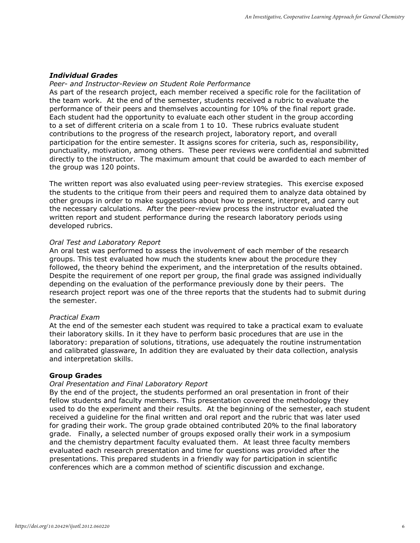# *Individual Grades*

# *Peer- and Instructor-Review on Student Role Performance*

As part of the research project, each member received a specific role for the facilitation of the team work. At the end of the semester, students received a rubric to evaluate the performance of their peers and themselves accounting for 10% of the final report grade. Each student had the opportunity to evaluate each other student in the group according to a set of different criteria on a scale from 1 to 10. These rubrics evaluate student contributions to the progress of the research project, laboratory report, and overall participation for the entire semester. It assigns scores for criteria, such as, responsibility, punctuality, motivation, among others. These peer reviews were confidential and submitted directly to the instructor. The maximum amount that could be awarded to each member of the group was 120 points.

The written report was also evaluated using peer-review strategies. This exercise exposed the students to the critique from their peers and required them to analyze data obtained by other groups in order to make suggestions about how to present, interpret, and carry out the necessary calculations. After the peer-review process the instructor evaluated the written report and student performance during the research laboratory periods using developed rubrics.

# *Oral Test and Laboratory Report*

An oral test was performed to assess the involvement of each member of the research groups. This test evaluated how much the students knew about the procedure they followed, the theory behind the experiment, and the interpretation of the results obtained. Despite the requirement of one report per group, the final grade was assigned individually depending on the evaluation of the performance previously done by their peers. The research project report was one of the three reports that the students had to submit during the semester.

# *Practical Exam*

At the end of the semester each student was required to take a practical exam to evaluate their laboratory skills. In it they have to perform basic procedures that are use in the laboratory: preparation of solutions, titrations, use adequately the routine instrumentation and calibrated glassware, In addition they are evaluated by their data collection, analysis and interpretation skills.

# **Group Grades**

# *Oral Presentation and Final Laboratory Report*

By the end of the project, the students performed an oral presentation in front of their fellow students and faculty members. This presentation covered the methodology they used to do the experiment and their results. At the beginning of the semester, each student received a guideline for the final written and oral report and the rubric that was later used for grading their work. The group grade obtained contributed 20% to the final laboratory grade. Finally, a selected number of groups exposed orally their work in a symposium and the chemistry department faculty evaluated them. At least three faculty members evaluated each research presentation and time for questions was provided after the presentations. This prepared students in a friendly way for participation in scientific conferences which are a common method of scientific discussion and exchange.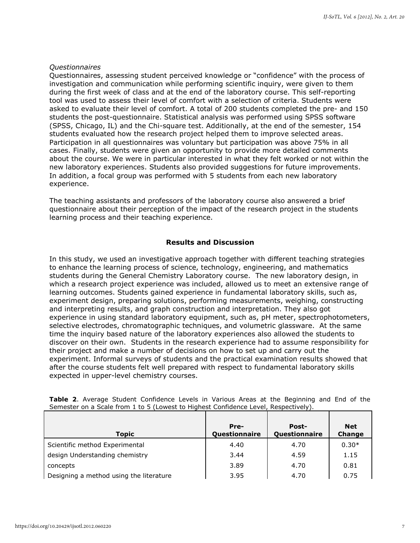# *Questionnaires*

Questionnaires, assessing student perceived knowledge or "confidence" with the process of investigation and communication while performing scientific inquiry, were given to them during the first week of class and at the end of the laboratory course. This self-reporting tool was used to assess their level of comfort with a selection of criteria. Students were asked to evaluate their level of comfort. A total of 200 students completed the pre- and 150 students the post-questionnaire. Statistical analysis was performed using SPSS software (SPSS, Chicago, IL) and the Chi-square test. Additionally, at the end of the semester, 154 students evaluated how the research project helped them to improve selected areas. Participation in all questionnaires was voluntary but participation was above 75% in all cases. Finally, students were given an opportunity to provide more detailed comments about the course. We were in particular interested in what they felt worked or not within the new laboratory experiences. Students also provided suggestions for future improvements. In addition, a focal group was performed with 5 students from each new laboratory experience.

The teaching assistants and professors of the laboratory course also answered a brief questionnaire about their perception of the impact of the research project in the students learning process and their teaching experience.

# **Results and Discussion**

In this study, we used an investigative approach together with different teaching strategies to enhance the learning process of science, technology, engineering, and mathematics students during the General Chemistry Laboratory course. The new laboratory design, in which a research project experience was included, allowed us to meet an extensive range of learning outcomes. Students gained experience in fundamental laboratory skills, such as, experiment design, preparing solutions, performing measurements, weighing, constructing and interpreting results, and graph construction and interpretation. They also got experience in using standard laboratory equipment, such as, pH meter, spectrophotometers, selective electrodes, chromatographic techniques, and volumetric glassware. At the same time the inquiry based nature of the laboratory experiences also allowed the students to discover on their own. Students in the research experience had to assume responsibility for their project and make a number of decisions on how to set up and carry out the experiment. Informal surveys of students and the practical examination results showed that after the course students felt well prepared with respect to fundamental laboratory skills expected in upper-level chemistry courses.

| <b>Topic</b>                            | Pre-<br>Questionnaire | <b>Post-</b><br>Questionnaire | <b>Net</b><br>Change |
|-----------------------------------------|-----------------------|-------------------------------|----------------------|
| Scientific method Experimental          | 4.40                  | 4.70                          | $0.30*$              |
| design Understanding chemistry          | 3.44                  | 4.59                          | 1.15                 |
| concepts                                | 3.89                  | 4.70                          | 0.81                 |
| Designing a method using the literature | 3.95                  | 4.70                          | 0.75                 |

**Table 2**. Average Student Confidence Levels in Various Areas at the Beginning and End of the Semester on a Scale from 1 to 5 (Lowest to Highest Confidence Level, Respectively).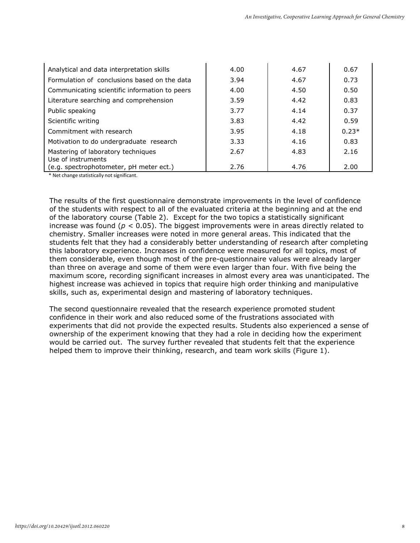| Analytical and data interpretation skills                | 4.00 | 4.67 | 0.67    |
|----------------------------------------------------------|------|------|---------|
| Formulation of conclusions based on the data             | 3.94 | 4.67 | 0.73    |
| Communicating scientific information to peers            | 4.00 | 4.50 | 0.50    |
| Literature searching and comprehension                   | 3.59 | 4.42 | 0.83    |
| Public speaking                                          | 3.77 | 4.14 | 0.37    |
| Scientific writing                                       | 3.83 | 4.42 | 0.59    |
| Commitment with research                                 | 3.95 | 4.18 | $0.23*$ |
| Motivation to do undergraduate research                  | 3.33 | 4.16 | 0.83    |
| Mastering of laboratory techniques<br>Use of instruments | 2.67 | 4.83 | 2.16    |
| (e.g. spectrophotometer, pH meter ect.)                  | 2.76 | 4.76 | 2.00    |

\* Net change statistically not significant.

The results of the first questionnaire demonstrate improvements in the level of confidence of the students with respect to all of the evaluated criteria at the beginning and at the end of the laboratory course (Table 2). Except for the two topics a statistically significant increase was found (*p* < 0.05). The biggest improvements were in areas directly related to chemistry. Smaller increases were noted in more general areas. This indicated that the students felt that they had a considerably better understanding of research after completing this laboratory experience. Increases in confidence were measured for all topics, most of them considerable, even though most of the pre-questionnaire values were already larger than three on average and some of them were even larger than four. With five being the maximum score, recording significant increases in almost every area was unanticipated. The highest increase was achieved in topics that require high order thinking and manipulative skills, such as, experimental design and mastering of laboratory techniques.

The second questionnaire revealed that the research experience promoted student confidence in their work and also reduced some of the frustrations associated with experiments that did not provide the expected results. Students also experienced a sense of ownership of the experiment knowing that they had a role in deciding how the experiment would be carried out. The survey further revealed that students felt that the experience helped them to improve their thinking, research, and team work skills (Figure 1).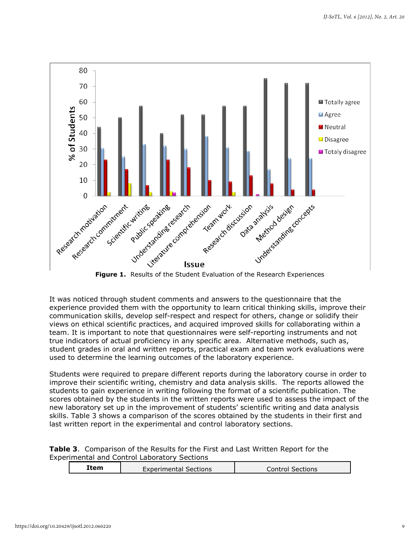

**Figure 1.** Results of the Student Evaluation of the Research Experiences

It was noticed through student comments and answers to the questionnaire that the experience provided them with the opportunity to learn critical thinking skills, improve their communication skills, develop self-respect and respect for others, change or solidify their views on ethical scientific practices, and acquired improved skills for collaborating within a team. It is important to note that questionnaires were self-reporting instruments and not true indicators of actual proficiency in any specific area. Alternative methods, such as, student grades in oral and written reports, practical exam and team work evaluations were used to determine the learning outcomes of the laboratory experience.

Students were required to prepare different reports during the laboratory course in order to improve their scientific writing, chemistry and data analysis skills. The reports allowed the students to gain experience in writing following the format of a scientific publication. The scores obtained by the students in the written reports were used to assess the impact of the new laboratory set up in the improvement of students' scientific writing and data analysis skills. Table 3 shows a comparison of the scores obtained by the students in their first and last written report in the experimental and control laboratory sections.

| <b>Table 3.</b> Comparison of the Results for the First and Last Written Report for the |  |  |  |
|-----------------------------------------------------------------------------------------|--|--|--|
| Experimental and Control Laboratory Sections                                            |  |  |  |

| Item                         | Sections |
|------------------------------|----------|
| <b>Experimental Sections</b> | _ontro'  |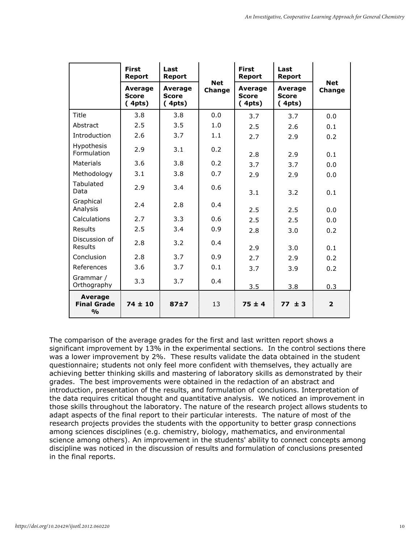|                                                       | <b>First</b><br>Report            | Last<br><b>Report</b>             |                      | <b>First</b><br><b>Report</b>     | Last<br><b>Report</b>             |                      |
|-------------------------------------------------------|-----------------------------------|-----------------------------------|----------------------|-----------------------------------|-----------------------------------|----------------------|
|                                                       | Average<br><b>Score</b><br>(4pts) | Average<br><b>Score</b><br>(4pts) | <b>Net</b><br>Change | Average<br><b>Score</b><br>(4pts) | Average<br><b>Score</b><br>(4pts) | <b>Net</b><br>Change |
| Title                                                 | 3.8                               | 3.8                               | 0.0                  | 3.7                               | 3.7                               | 0.0                  |
| Abstract                                              | 2.5                               | 3.5                               | 1.0                  | 2.5                               | 2.6                               | 0.1                  |
| Introduction                                          | 2.6                               | 3.7                               | 1.1                  | 2.7                               | 2.9                               | 0.2                  |
| Hypothesis<br>Formulation                             | 2.9                               | 3.1                               | 0.2                  | 2.8                               | 2.9                               | 0.1                  |
| Materials                                             | 3.6                               | 3.8                               | 0.2                  | 3.7                               | 3.7                               | 0.0                  |
| Methodology                                           | 3.1                               | 3.8                               | 0.7                  | 2.9                               | 2.9                               | 0.0                  |
| Tabulated<br>Data                                     | 2.9                               | 3.4                               | 0.6                  | 3.1                               | 3.2                               | 0.1                  |
| Graphical<br>Analysis                                 | 2.4                               | 2.8                               | 0.4                  | 2.5                               | 2.5                               | 0.0                  |
| Calculations                                          | 2.7                               | 3.3                               | 0.6                  | 2.5                               | 2.5                               | 0.0                  |
| Results                                               | 2.5                               | 3.4                               | 0.9                  | 2.8                               | 3.0                               | 0.2                  |
| Discussion of<br>Results                              | 2.8                               | 3.2                               | 0.4                  | 2.9                               | 3.0                               | 0.1                  |
| Conclusion                                            | 2.8                               | 3.7                               | 0.9                  | 2.7                               | 2.9                               | 0.2                  |
| References                                            | 3.6                               | 3.7                               | 0.1                  | 3.7                               | 3.9                               | 0.2                  |
| Grammar /<br>Orthography                              | 3.3                               | 3.7                               | 0.4                  | 3.5                               | 3.8                               | 0.3                  |
| <b>Average</b><br><b>Final Grade</b><br>$\frac{0}{0}$ | $74 \pm 10$                       | 87±7                              | 13                   | $75 \pm 4$                        | $77 \pm 3$                        | $\overline{2}$       |

The comparison of the average grades for the first and last written report shows a significant improvement by 13% in the experimental sections. In the control sections there was a lower improvement by 2%. These results validate the data obtained in the student questionnaire; students not only feel more confident with themselves, they actually are achieving better thinking skills and mastering of laboratory skills as demonstrated by their grades. The best improvements were obtained in the redaction of an abstract and introduction, presentation of the results, and formulation of conclusions. Interpretation of the data requires critical thought and quantitative analysis. We noticed an improvement in those skills throughout the laboratory. The nature of the research project allows students to adapt aspects of the final report to their particular interests. The nature of most of the research projects provides the students with the opportunity to better grasp connections among sciences disciplines (e.g. chemistry, biology, mathematics, and environmental science among others). An improvement in the students' ability to connect concepts among discipline was noticed in the discussion of results and formulation of conclusions presented in the final reports.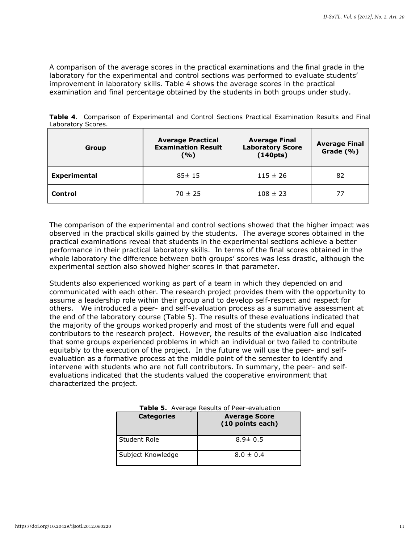A comparison of the average scores in the practical examinations and the final grade in the laboratory for the experimental and control sections was performed to evaluate students' improvement in laboratory skills. Table 4 shows the average scores in the practical examination and final percentage obtained by the students in both groups under study.

| Group                         | <b>Average Practical</b><br><b>Examination Result</b><br>(%) | <b>Average Final</b><br><b>Laboratory Score</b><br>(140pts) | <b>Average Final</b><br>Grade (%) |
|-------------------------------|--------------------------------------------------------------|-------------------------------------------------------------|-----------------------------------|
| <b>Experimental</b>           | $85 \pm 15$                                                  | $115 \pm 26$                                                | 82                                |
| <b>Control</b><br>$70 \pm 25$ |                                                              | $108 \pm 23$                                                | 77                                |

**Table 4**. Comparison of Experimental and Control Sections Practical Examination Results and Final Laboratory Scores.

The comparison of the experimental and control sections showed that the higher impact was observed in the practical skills gained by the students. The average scores obtained in the practical examinations reveal that students in the experimental sections achieve a better performance in their practical laboratory skills. In terms of the final scores obtained in the whole laboratory the difference between both groups' scores was less drastic, although the experimental section also showed higher scores in that parameter.

Students also experienced working as part of a team in which they depended on and communicated with each other. The research project provides them with the opportunity to assume a leadership role within their group and to develop self-respect and respect for others. We introduced a peer- and self-evaluation process as a summative assessment at the end of the laboratory course (Table 5). The results of these evaluations indicated that the majority of the groups worked properly and most of the students were full and equal contributors to the research project. However, the results of the evaluation also indicated that some groups experienced problems in which an individual or two failed to contribute equitably to the execution of the project. In the future we will use the peer- and selfevaluation as a formative process at the middle point of the semester to identify and intervene with students who are not full contributors. In summary, the peer- and selfevaluations indicated that the students valued the cooperative environment that characterized the project.

| <b>Categories</b> | <b>Average Score</b><br>(10 points each) |
|-------------------|------------------------------------------|
| Student Role      | $8.9 \pm 0.5$                            |
| Subject Knowledge | $8.0 \pm 0.4$                            |

**Table 5.** Average Results of Peer-evaluation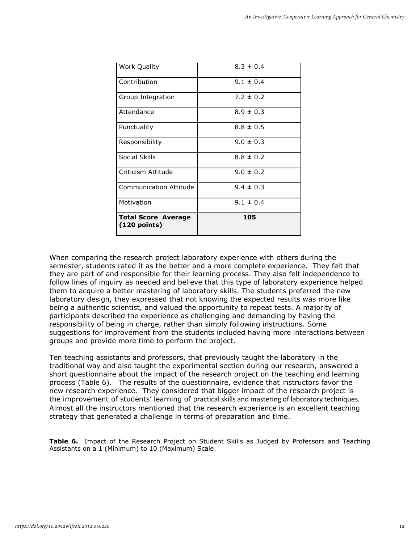| <b>Work Quality</b>                          | $8.3 \pm 0.4$ |
|----------------------------------------------|---------------|
| Contribution                                 | $9.1 \pm 0.4$ |
| Group Integration                            | $7.2 \pm 0.2$ |
| Attendance                                   | $8.9 \pm 0.3$ |
| Punctuality                                  | $8.8 \pm 0.5$ |
| Responsibility                               | $9.0 \pm 0.3$ |
| Social Skills                                | $8.8 \pm 0.2$ |
| Criticism Attitude                           | $9.0 \pm 0.2$ |
| Communication Attitude                       | $9.4 \pm 0.3$ |
| Motivation                                   | $9.1 \pm 0.4$ |
| <b>Total Score Average</b><br>$(120$ points) | 105           |

When comparing the research project laboratory experience with others during the semester, students rated it as the better and a more complete experience. They felt that they are part of and responsible for their learning process. They also felt independence to follow lines of inquiry as needed and believe that this type of laboratory experience helped them to acquire a better mastering of laboratory skills. The students preferred the new laboratory design, they expressed that not knowing the expected results was more like being a authentic scientist, and valued the opportunity to repeat tests. A majority of participants described the experience as challenging and demanding by having the responsibility of being in charge, rather than simply following instructions. Some suggestions for improvement from the students included having more interactions between groups and provide more time to perform the project.

Ten teaching assistants and professors, that previously taught the laboratory in the traditional way and also taught the experimental section during our research, answered a short questionnaire about the impact of the research project on the teaching and learning process (Table 6). The results of the questionnaire, evidence that instructors favor the new research experience. They considered that bigger impact of the research project is the improvement of students' learning of practical skills and mastering of laboratory techniques*.*  Almost all the instructors mentioned that the research experience is an excellent teaching strategy that generated a challenge in terms of preparation and time.

**Table 6.** Impact of the Research Project on Student Skills as Judged by Professors and Teaching Assistants on a 1 (Minimum) to 10 (Maximum) Scale.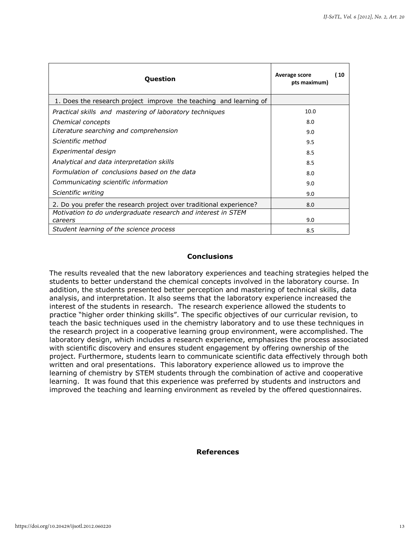| Question                                                                | 10<br>Average score<br>pts maximum) |
|-------------------------------------------------------------------------|-------------------------------------|
| 1. Does the research project improve the teaching and learning of       |                                     |
| Practical skills and mastering of laboratory techniques                 | 10.0                                |
| Chemical concepts                                                       | 8.0                                 |
| Literature searching and comprehension                                  | 9.0                                 |
| Scientific method                                                       | 9.5                                 |
| Experimental design                                                     | 8.5                                 |
| Analytical and data interpretation skills                               | 8.5                                 |
| Formulation of conclusions based on the data                            | 8.0                                 |
| Communicating scientific information                                    | 9.0                                 |
| Scientific writing                                                      | 9.0                                 |
| 2. Do you prefer the research project over traditional experience?      | 8.0                                 |
| Motivation to do undergraduate research and interest in STEM<br>careers | 9.0                                 |
| Student learning of the science process                                 | 8.5                                 |
|                                                                         |                                     |

# **Conclusions**

The results revealed that the new laboratory experiences and teaching strategies helped the students to better understand the chemical concepts involved in the laboratory course. In addition, the students presented better perception and mastering of technical skills, data analysis, and interpretation. It also seems that the laboratory experience increased the interest of the students in research. The research experience allowed the students to practice "higher order thinking skills". The specific objectives of our curricular revision, to teach the basic techniques used in the chemistry laboratory and to use these techniques in the research project in a cooperative learning group environment, were accomplished. The laboratory design, which includes a research experience, emphasizes the process associated with scientific discovery and ensures student engagement by offering ownership of the project. Furthermore, students learn to communicate scientific data effectively through both written and oral presentations. This laboratory experience allowed us to improve the learning of chemistry by STEM students through the combination of active and cooperative learning. It was found that this experience was preferred by students and instructors and improved the teaching and learning environment as reveled by the offered questionnaires.

# **References**